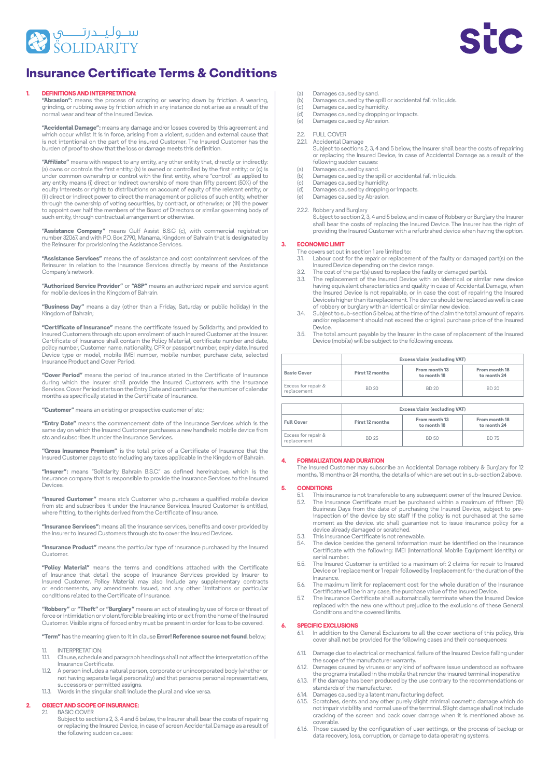



## **DEFINITIONS AND INTERPRETATION:**

**"Abrasion":** means the process of scraping or wearing down by friction. A wearing,<br>grinding, or rubbing away by friction which in any instance do not arise as a result of the normal wear and tear of the Insured Device.

**"Accidental Damage":** means any damage and/or losses covered by this agreement and<br>which occur whilst it is in force, arising from a violent, sudden and external cause that<br>is not intentional on the part of the insured Cu burden of proof to show that the loss or damage meets this definition.

**"Affiliate"** means with respect to any entity, any other entity that, directly or indirectly:<br>(a) owns or controls the first entity; (b) is owned or controlled by the first entity; or (c) is to a principle and the with control with the first entity, where "control" as applied to under common ownership or control with the first entity, where "control" as applied to any entity means (i) direct or indirect ownership of more than fifty percent (50%) of the<br>equity interests or rights to distributions on account of equity of the relevant entity; or where the direct of policies of policies of such entity, whether through the ownership of voting securities, by contract, or otherwise; or (iii) the power<br>to appoint over half the members of the Board of Directors or similar governing body of such entity, through contractual arrangement or otherwise.

**"Assistance Company"** means Gulf Assist B.S.C (c), with commercial registration<br>number 32067, and with P.O. Box 2790, Manama, Kingdom of Bahrain that is designated by the Reinsurer for provisioning the Assistance Services.

"Assistance Services" means the of assistance and cost containment services of the Reinsurer in relation to the Insurance Services directly by means of the Assistance Company's network

"Authorized Service Provider" or "ASP" means an authorized repair and service agent for mobile devices in the Kingdom of Bahrain

"Business Day" means a day (other than a Friday, Saturday or public holiday) in the Kingdom of Bahrain:

"Certificate of Insurance" means the certificate issued by Solidarity, and provided to Insured Customers through stc upon enrolment of such Insured Customer at the Insurer.<br>Certificate of Insurance shall contain the Policy Material, certificate number and date, Insured of modialities originality and the Policy material, continued hamber and date, policy number, Customer name, nationality, CPR or passport number, expiry date, Insured .<br>Device type or model, mobile IMEI number, mobile number, purchase date, selected Insurance Product and Cover Period.

"Cover Period" means the period of insurance stated in the Certificate of Insurance during which the Insurer shall provide the Insured Customers with the Insurance calling which the filed starts on the Entry Date and continues for the number of calendar months as specifically stated in the Certificate of Insurance.

"Customer" means an existing or prospective customer of stc;

**"Entry Date"** means the commencement date of the Insurance Services which is the from device modifie and commencement date of the modifiance certified mobile device from ste and subscribes it under the Insurance Services

"Gross Insurance Premium" is the total price of a Certificate of Insurance that the Insured Customer pays to stc including any taxes applicable in the Kingdom of Bahrain.

"Insurer": means "Solidarity Bahrain B.S.C." as defined hereinabove, which is the insurance company that is responsible to provide the Insurance Services to the Insured .Devices

**"Insured Customer"** means stc's Customer who purchases a qualified mobile device<br>from stc and subscribes it under the Insurance Services. Insured Customer is entitled, where fitting, to the rights derived from the Certificate of Insurance

"Insurance Services": means all the insurance services, benefits and cover provided by the Insurer to Insured Customers through stc to cover the Insured Devices.

"Insurance Product" means the particular type of insurance purchased by the Insured .Customer

"Policy Material" means the terms and conditions attached with the Certificate of Insurance that detail the scope of Insurance Services provided by Insurer to Insured Customer. Policy Material may also include any supplementary contracts<br>or endorsements, any amendments issued, and any other limitations or particular<br>conditionsrelated to the Certificate of Insurance.

"Robbery" or "Theft" or "Burglary" means an act of stealing by use of force or threat of Insured the matter of the from the from the from the force or intimidation or violent/forcible breaking into or exit from the home of the Insured .covered be the must be to loss forced entry must be present in order for loss to be covered.

"Term" has the meaning given to it in clause Error! Reference source not found. below;

- 1.1. INTERPRETATION:<br>11.1. Clause schedule
- Clause, schedule and paragraph headings shall not affect the interpretation of the Insurance Certificate.
- 1.1.2. A person includes a natural person, corporate or unincorporated body (whether or not having separate legal personality) and that person»s personal representatives,<br>successors or permitted assigns.
- .versa vice and plural the include shall singular the in Words 1.1.3.

# **2. OBJECT AND SCOPE OF INSURANCE:**<br>21 BASIC COVER

**BASIC COVER** 

Subject to sections 2, 3, 4 and 5 below, the Insurer shall bear the costs of repairing of replacing the Insured Device, in case of screen Accidental Damage as a result of the following sudden causes:

- (a) Damages caused by sand.<br>(b) Damages caused by the sp
- $\begin{pmatrix} 1 & b \\ c & d \end{pmatrix}$  Damages caused by the spill or accidental fall in liquids<br>(c) Damages caused by humidity.
- (c) Damages caused by humidity.<br>(d) Damages caused by dropping
- $\begin{array}{ll}\n\text{(d)} & \text{Damages caused by dropping or impacts.} \\
\text{(e)} & \text{Damades caused by Abrasion.}\n\end{array}$
- Damages caused by Abrasion

# 2.2. FULL COVER<br>2.21 Accidental D

Accidental Damage represent to sections 2, 3, 4 and 5 below, the Insurer shall bear the costs of repairing of replacing the Insured Device, in case of Accidental Damage as a result of the following sudden causes

- (a) Damages caused by sand.<br>(b) Damages caused by the st Damages caused by the spill or accidental fall in liquids.
- 
- (c) Damages caused by humidity.<br>(d) Damages caused by dropping or impacts.
- (e) Damages caused by Abrasion.
- 2.2.2. Robbery and Burglary

Subject to section 2, 3, 4 and 5 below, and in case of Robbery or Burglary the Insurer shall bear the costs of replacing the Insured Device. The Insurer has the right of<br>providing the Insured Customer with a refurbished device when having the option.

# **LIMIT ECONOMIC 3.**

- The covers set out in section 1 are limited to:<br>3.1. Labour cost for the repair or replacem
- Labour cost for the repair or replacement of the faulty or damaged part(s) on the Insured Device depending on the device range.<br>3.2. The cost of the part(s) used to replace the faulty or damaged part(s).
- 
- 3.3. The replacement of the Insured Device with an identical or similar new device having equivalent characteristics and quality in case of Accidental Damage, when Insured September 2018 of the repair and planety in order of contributions in the linear the linear the linear Device is higher than its replacement. The device should be replaced as well is case of robbery or burglary with an identical or similar new device.
- 3.4. Subject to sub-section 5 below, at the time of the claim the total amount of repairs and/or replacement should not exceed the original purchase price of the Insured .Device
- 3.5. The total amount payable by the Insurer in the case of replacement of the Insured Device (mobile) will be subject to the following excess

| <b>Basic Cover</b>                 | Excess/claim (excluding VAT) |                              |                              |
|------------------------------------|------------------------------|------------------------------|------------------------------|
|                                    | First 12 months              | From month 13<br>to month 18 | From month 18<br>to month 24 |
| Excess for repair &<br>replacement | BD 20                        | BD 20                        | BD 20                        |
|                                    |                              | Excess/claim (excluding VAT) |                              |

|                                    | Excess/claim (excluding VAT) |                              |                              |
|------------------------------------|------------------------------|------------------------------|------------------------------|
| <b>Full Cover</b>                  | First 12 months              | From month 13<br>to month 18 | From month 18<br>to month 24 |
| Excess for repair &<br>replacement | BD 25                        | BD 50                        | <b>BD 75</b>                 |

#### **DURATION AND FORMALIZATION 4.**

The Insured Customer may subscribe an Accidental Damage robbery & Burglary for 12 .above 2 section-sub in out set are which of details the ,months 24 or months 18 ,months

#### **CONDITIONS 5.**

- 5.1. This insurance is not transferable to any subsequent owner of the Insured Device<br>5.2. The Insurance Certificate must be purchased within a maximum of fifteen (15.1.1.1.1.1.1.1.1.1.1.1.1.1.1.1 The Insurance Certificate must be purchased within a maximum of fifteen (15) inspection of the device by stc staff if the policy is not purchased at the same Business Days from the date of purchasing the Insured Device, subject to premoment as the device. stc shall guarantee not to issue insurance policy for a device already damaged or scratched.
- 5.3. This Insurance Certificate is not renewable.<br>5.4. The device besides the general information
- 5.4. The device besides the general information must be identified on the Insurance<br>Certificate with the following: IMEI (International Mobile Equipment Identity) or serial number
- Insuration both surfamilies.<br>Insured to a maximum of: 2 claims for repair to Insured 5.5. the measure of duration to duration the formal measurement for the duration of the Device or 1 replacement or 1 repair followed by 1 replacement for the duration of the .Insurance
- 5.6. The maximum limit for replacement cost for the whole duration of the Insurance Certificate will be in any case, the purchase value of the Insured Device.
- 5.7. The Insurance Certificate shall automatically terminate when the Insured Device replaced with the new one without prejudice to the exclusions of these General Conditions and the covered limits.

#### **EXCLUSIONS SPECIFIC 6.**

- In addition to the General Exclusions to all the cover sections of this policy, this cover shall not be provided for the following cases and their consequences:
- 6.1.1. Damage due to electrical or mechanical failure of the Insured Device falling under
- the scope of the manufacturer warranty.<br>6.1.2. Damages caused by viruses or any kind of software issue understood as software indight that the programs installed in the mobile that render the insured terminal inoperative
- 6.1.3. If the damage has been produced by the use contrary to the recommendations or standards of the manufacturer.
- 6.14. Damages caused by a latent manufacturing defect.<br>6.1.5. Scratches, dents and any other purely slight minim
- 6.1.5. Scratches, dents and any other purely slight minimal cosmetic damage which do<br>not impair visibility and normal use of the terminal. Slight damage shall not include cracking of the screen and back cover damage when it is mentioned above as .coverable
- 6.1.6. Those caused by the configuration of user settings, or the process of backup or data recovery, loss, corruption, or damage to data operating systems.